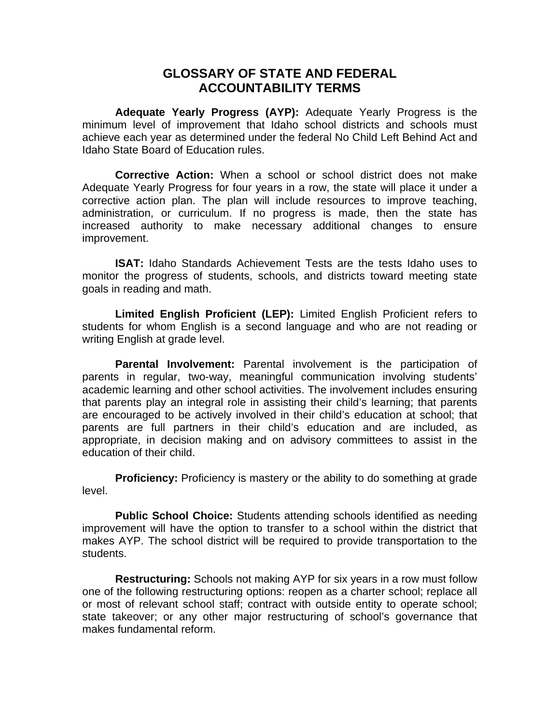## **GLOSSARY OF STATE AND FEDERAL ACCOUNTABILITY TERMS**

**Adequate Yearly Progress (AYP):** Adequate Yearly Progress is the minimum level of improvement that Idaho school districts and schools must achieve each year as determined under the federal No Child Left Behind Act and Idaho State Board of Education rules.

**Corrective Action:** When a school or school district does not make Adequate Yearly Progress for four years in a row, the state will place it under a corrective action plan. The plan will include resources to improve teaching, administration, or curriculum. If no progress is made, then the state has increased authority to make necessary additional changes to ensure improvement.

**ISAT:** Idaho Standards Achievement Tests are the tests Idaho uses to monitor the progress of students, schools, and districts toward meeting state goals in reading and math.

**Limited English Proficient (LEP):** Limited English Proficient refers to students for whom English is a second language and who are not reading or writing English at grade level.

**Parental Involvement:** Parental involvement is the participation of parents in regular, two-way, meaningful communication involving students' academic learning and other school activities. The involvement includes ensuring that parents play an integral role in assisting their child's learning; that parents are encouraged to be actively involved in their child's education at school; that parents are full partners in their child's education and are included, as appropriate, in decision making and on advisory committees to assist in the education of their child.

**Proficiency:** Proficiency is mastery or the ability to do something at grade level.

**Public School Choice:** Students attending schools identified as needing improvement will have the option to transfer to a school within the district that makes AYP. The school district will be required to provide transportation to the students.

**Restructuring:** Schools not making AYP for six years in a row must follow one of the following restructuring options: reopen as a charter school; replace all or most of relevant school staff; contract with outside entity to operate school; state takeover; or any other major restructuring of school's governance that makes fundamental reform.